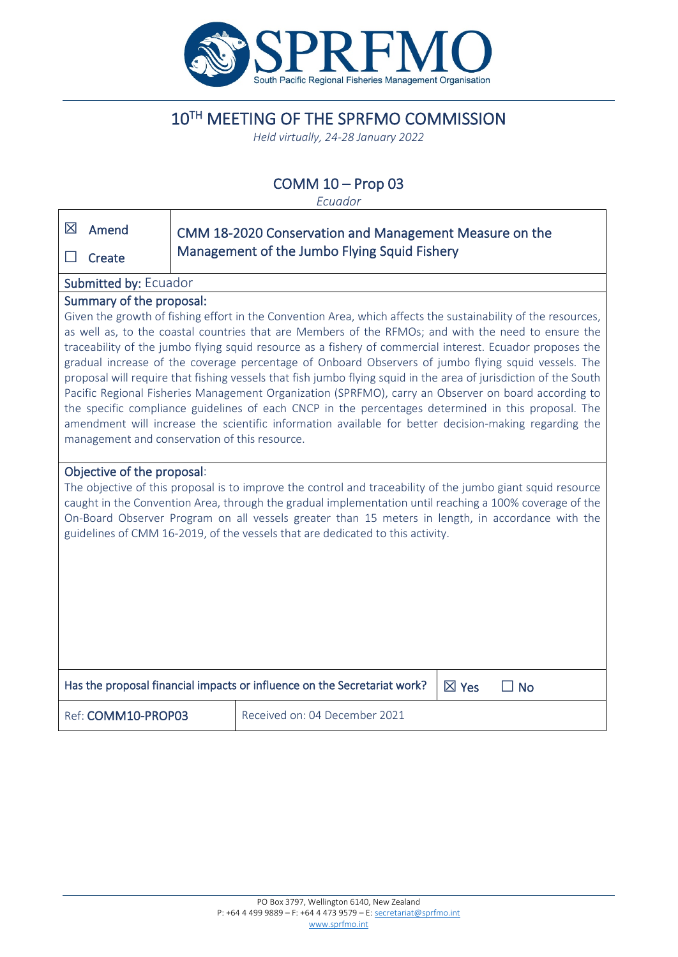

# 10TH MEETING OF THE SPRFMO COMMISSION

*Held virtually, 24-28 January 2022*

# COMM 10 – Prop 03

*Ecuador*

| 区<br>Amend<br>Create                                                                                                                                                                                                                                                                                                                                                                                                                                                                                                                                                                                                                                                                                                                                                                                                                                                                                                                                              | CMM 18-2020 Conservation and Management Measure on the<br>Management of the Jumbo Flying Squid Fishery |                               |                 |           |
|-------------------------------------------------------------------------------------------------------------------------------------------------------------------------------------------------------------------------------------------------------------------------------------------------------------------------------------------------------------------------------------------------------------------------------------------------------------------------------------------------------------------------------------------------------------------------------------------------------------------------------------------------------------------------------------------------------------------------------------------------------------------------------------------------------------------------------------------------------------------------------------------------------------------------------------------------------------------|--------------------------------------------------------------------------------------------------------|-------------------------------|-----------------|-----------|
| Submitted by: Ecuador                                                                                                                                                                                                                                                                                                                                                                                                                                                                                                                                                                                                                                                                                                                                                                                                                                                                                                                                             |                                                                                                        |                               |                 |           |
| Summary of the proposal:<br>Given the growth of fishing effort in the Convention Area, which affects the sustainability of the resources,<br>as well as, to the coastal countries that are Members of the RFMOs; and with the need to ensure the<br>traceability of the jumbo flying squid resource as a fishery of commercial interest. Ecuador proposes the<br>gradual increase of the coverage percentage of Onboard Observers of jumbo flying squid vessels. The<br>proposal will require that fishing vessels that fish jumbo flying squid in the area of jurisdiction of the South<br>Pacific Regional Fisheries Management Organization (SPRFMO), carry an Observer on board according to<br>the specific compliance guidelines of each CNCP in the percentages determined in this proposal. The<br>amendment will increase the scientific information available for better decision-making regarding the<br>management and conservation of this resource. |                                                                                                        |                               |                 |           |
| Objective of the proposal:<br>The objective of this proposal is to improve the control and traceability of the jumbo giant squid resource<br>caught in the Convention Area, through the gradual implementation until reaching a 100% coverage of the<br>On-Board Observer Program on all vessels greater than 15 meters in length, in accordance with the<br>guidelines of CMM 16-2019, of the vessels that are dedicated to this activity.                                                                                                                                                                                                                                                                                                                                                                                                                                                                                                                       |                                                                                                        |                               |                 |           |
| Has the proposal financial impacts or influence on the Secretariat work?                                                                                                                                                                                                                                                                                                                                                                                                                                                                                                                                                                                                                                                                                                                                                                                                                                                                                          |                                                                                                        |                               | $\boxtimes$ Yes | $\Box$ No |
| Ref: COMM10-PROP03                                                                                                                                                                                                                                                                                                                                                                                                                                                                                                                                                                                                                                                                                                                                                                                                                                                                                                                                                |                                                                                                        | Received on: 04 December 2021 |                 |           |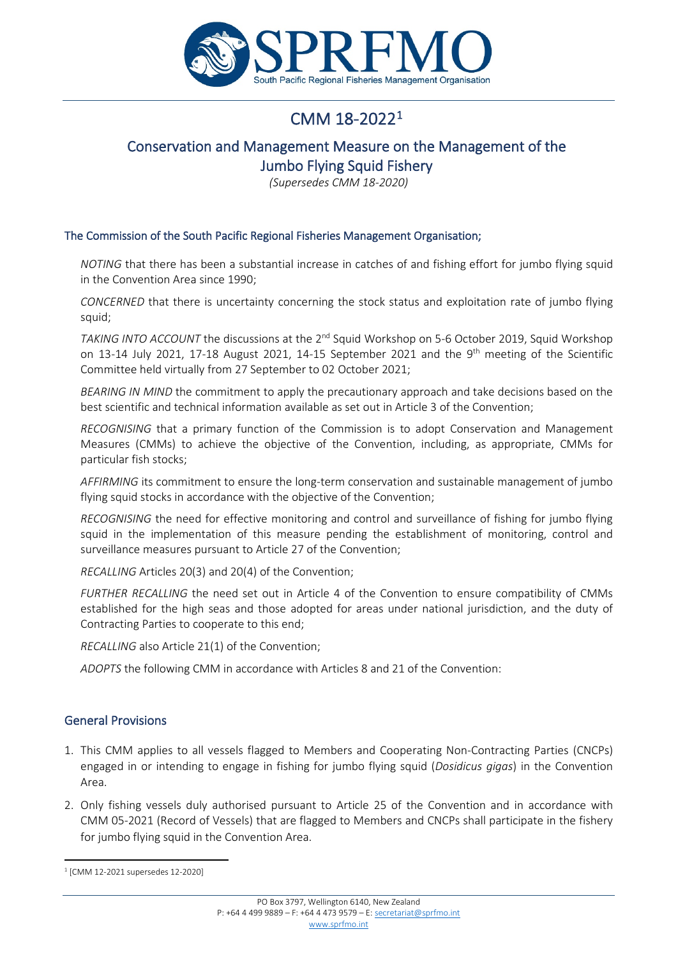

# CMM 18-2022[1](#page-1-0)

# Conservation and Management Measure on the Management of the Jumbo Flying Squid Fishery

*(Supersedes CMM 18-2020)*

#### The Commission of the South Pacific Regional Fisheries Management Organisation;

*NOTING* that there has been a substantial increase in catches of and fishing effort for jumbo flying squid in the Convention Area since 1990;

*CONCERNED* that there is uncertainty concerning the stock status and exploitation rate of jumbo flying squid;

*TAKING INTO ACCOUNT* the discussions at the 2<sup>nd</sup> Squid Workshop on 5-6 October 2019, Squid Workshop on 13-14 July 2021, 17-18 August 2021, 14-15 September 2021 and the 9<sup>th</sup> meeting of the Scientific Committee held virtually from 27 September to 02 October 2021;

*BEARING IN MIND* the commitment to apply the precautionary approach and take decisions based on the best scientific and technical information available as set out in Article 3 of the Convention;

*RECOGNISING* that a primary function of the Commission is to adopt Conservation and Management Measures (CMMs) to achieve the objective of the Convention, including, as appropriate, CMMs for particular fish stocks;

*AFFIRMING* its commitment to ensure the long-term conservation and sustainable management of jumbo flying squid stocks in accordance with the objective of the Convention;

*RECOGNISING* the need for effective monitoring and control and surveillance of fishing for jumbo flying squid in the implementation of this measure pending the establishment of monitoring, control and surveillance measures pursuant to Article 27 of the Convention;

*RECALLING* Articles 20(3) and 20(4) of the Convention;

*FURTHER RECALLING* the need set out in Article 4 of the Convention to ensure compatibility of CMMs established for the high seas and those adopted for areas under national jurisdiction, and the duty of Contracting Parties to cooperate to this end;

*RECALLING* also Article 21(1) of the Convention;

*ADOPTS* the following CMM in accordance with Articles 8 and 21 of the Convention:

## General Provisions

- 1. This CMM applies to all vessels flagged to Members and Cooperating Non-Contracting Parties (CNCPs) engaged in or intending to engage in fishing for jumbo flying squid (*Dosidicus gigas*) in the Convention Area.
- 2. Only fishing vessels duly authorised pursuant to Article 25 of the Convention and in accordance with CMM 05-2021 (Record of Vessels) that are flagged to Members and CNCPs shall participate in the fishery for jumbo flying squid in the Convention Area.

<span id="page-1-0"></span><sup>1</sup> [CMM 12-2021 supersedes 12-2020]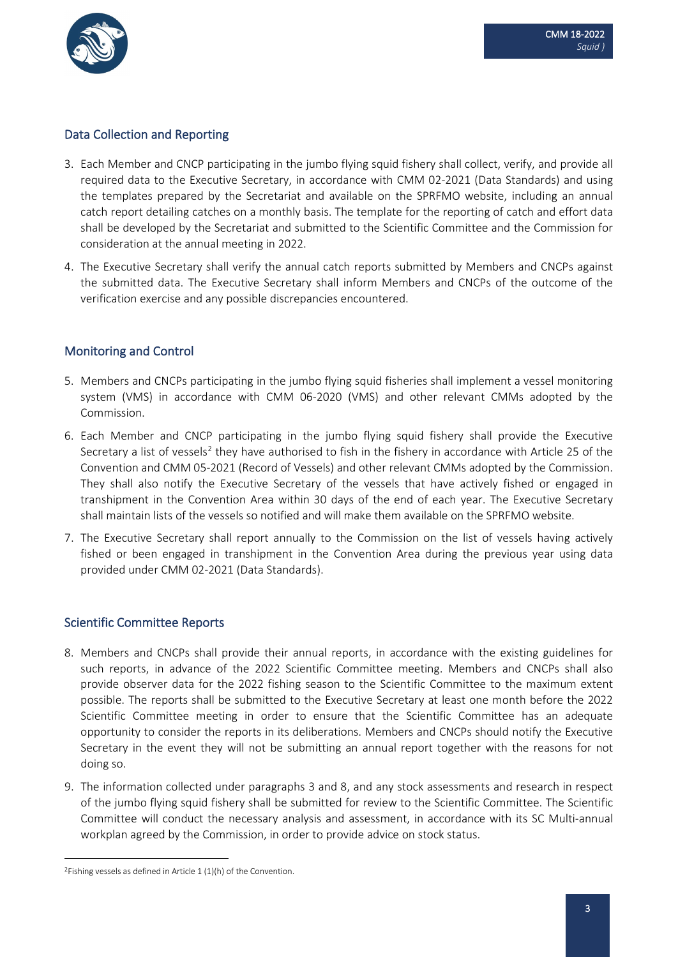

### Data Collection and Reporting

- 3. Each Member and CNCP participating in the jumbo flying squid fishery shall collect, verify, and provide all required data to the Executive Secretary, in accordance with CMM 02-2021 (Data Standards) and using the templates prepared by the Secretariat and available on the SPRFMO website, including an annual catch report detailing catches on a monthly basis. The template for the reporting of catch and effort data shall be developed by the Secretariat and submitted to the Scientific Committee and the Commission for consideration at the annual meeting in 2022.
- 4. The Executive Secretary shall verify the annual catch reports submitted by Members and CNCPs against the submitted data. The Executive Secretary shall inform Members and CNCPs of the outcome of the verification exercise and any possible discrepancies encountered.

## Monitoring and Control

- 5. Members and CNCPs participating in the jumbo flying squid fisheries shall implement a vessel monitoring system (VMS) in accordance with CMM 06-2020 (VMS) and other relevant CMMs adopted by the Commission.
- 6. Each Member and CNCP participating in the jumbo flying squid fishery shall provide the Executive Secretary a list of vessels<sup>[2](#page-2-0)</sup> they have authorised to fish in the fishery in accordance with Article 25 of the Convention and CMM 05-2021 (Record of Vessels) and other relevant CMMs adopted by the Commission. They shall also notify the Executive Secretary of the vessels that have actively fished or engaged in transhipment in the Convention Area within 30 days of the end of each year. The Executive Secretary shall maintain lists of the vessels so notified and will make them available on the SPRFMO website.
- 7. The Executive Secretary shall report annually to the Commission on the list of vessels having actively fished or been engaged in transhipment in the Convention Area during the previous year using data provided under CMM 02-2021 (Data Standards).

#### Scientific Committee Reports

- 8. Members and CNCPs shall provide their annual reports, in accordance with the existing guidelines for such reports, in advance of the 2022 Scientific Committee meeting. Members and CNCPs shall also provide observer data for the 2022 fishing season to the Scientific Committee to the maximum extent possible. The reports shall be submitted to the Executive Secretary at least one month before the 2022 Scientific Committee meeting in order to ensure that the Scientific Committee has an adequate opportunity to consider the reports in its deliberations. Members and CNCPs should notify the Executive Secretary in the event they will not be submitting an annual report together with the reasons for not doing so.
- 9. The information collected under paragraphs 3 and 8, and any stock assessments and research in respect of the jumbo flying squid fishery shall be submitted for review to the Scientific Committee. The Scientific Committee will conduct the necessary analysis and assessment, in accordance with its SC Multi-annual workplan agreed by the Commission, in order to provide advice on stock status.

<span id="page-2-0"></span><sup>&</sup>lt;sup>2</sup>Fishing vessels as defined in Article  $1(1)$ (h) of the Convention.